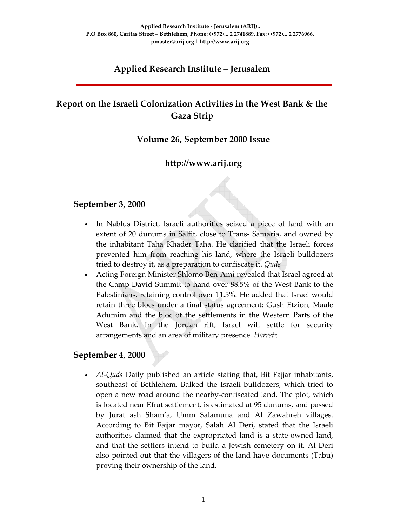# **Applied Research Institute – Jerusalem**

# **Report on the Israeli Colonization Activities in the West Bank & the Gaza Strip**

#### **Volume 26, September 2000 Issue**

## **http://www.arij.org**

#### **September 3, 2000**

- In Nablus District, Israeli authorities seized a piece of land with an extent of 20 dunums in Salfit, close to Trans‐ Samaria, and owned by the inhabitant Taha Khader Taha. He clarified that the Israeli forces prevented him from reaching his land, where the Israeli bulldozers tried to destroy it, as a preparation to confiscate it. *Quds*
- Acting Foreign Minister Shlomo Ben‐Ami revealed that Israel agreed at the Camp David Summit to hand over 88.5% of the West Bank to the Palestinians, retaining control over 11.5%. He added that Israel would retain three blocs under a final status agreement: Gush Etzion, Maale Adumim and the bloc of the settlements in the Western Parts of the West Bank. In the Jordan rift, Israel will settle for security arrangements and an area of military presence. *Harretz*

#### **September 4, 2000**

• *Al‐Quds* Daily published an article stating that, Bit Fajjar inhabitants, southeast of Bethlehem, Balked the Israeli bulldozers, which tried to open a new road around the nearby‐confiscated land. The plot, which is located near Efrat settlement, is estimated at 95 dunums, and passed by Jurat ash Sham'a, Umm Salamuna and Al Zawahreh villages. According to Bit Fajjar mayor, Salah Al Deri, stated that the Israeli authorities claimed that the expropriated land is a state‐owned land, and that the settlers intend to build a Jewish cemetery on it. Al Deri also pointed out that the villagers of the land have documents (Tabu) proving their ownership of the land.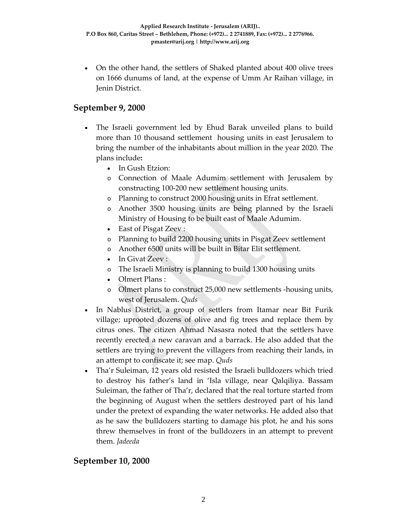• On the other hand, the settlers of Shaked planted about 400 olive trees on 1666 dunums of land, at the expense of Umm Ar Raihan village, in Jenin District.

#### **September 9, 2000**

- The Israeli government led by Ehud Barak unveiled plans to build more than 10 thousand settlement housing units in east Jerusalem to bring the number of the inhabitants about million in the year 2020. The plans include**:**
	- In Gush Etzion:
	- o Connection of Maale Adumim settlement with Jerusalem by constructing 100‐200 new settlement housing units.
	- o Planning to construct 2000 housing units in Efrat settlement.
	- o Another 3500 housing units are being planned by the Israeli Ministry of Housing to be built east of Maale Adumim.
	- East of Pisgat Zeev :
	- o Planning to build 2200 housing units in Pisgat Zeev settlement
	- o Another 6500 units will be built in Bitar Elit settlement.
	- In Givat Zeev:
	- o The Israeli Ministry is planning to build 1300 housing units
	- Olmert Plans :
	- o Olmert plans to construct 25,000 new settlements ‐housing units, west of Jerusalem. *Quds*
- In Nablus District, a group of settlers from Itamar near Bit Furik village; uprooted dozens of olive and fig trees and replace them by citrus ones. The citizen Ahmad Nasasra noted that the settlers have recently erected a new caravan and a barrack. He also added that the settlers are trying to prevent the villagers from reaching their lands, in an attempt to confiscate it; see map. *Quds*
- Tha'r Suleiman, 12 years old resisted the Israeli bulldozers which tried to destroy his father's land in 'Isla village, near Qalqiliya. Bassam Suleiman, the father of Tha'r, declared that the real torture started from the beginning of August when the settlers destroyed part of his land under the pretext of expanding the water networks. He added also that as he saw the bulldozers starting to damage his plot, he and his sons threw themselves in front of the bulldozers in an attempt to prevent them. *Jadeeda*

## **September 10, 2000**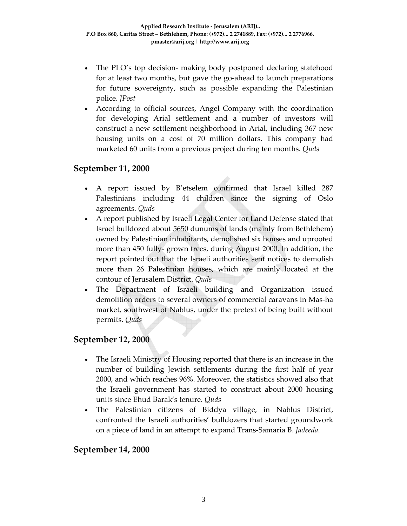- The PLO's top decision- making body postponed declaring statehood for at least two months, but gave the go-ahead to launch preparations for future sovereignty, such as possible expanding the Palestinian police. *JPost*
- According to official sources, Angel Company with the coordination for developing Arial settlement and a number of investors will construct a new settlement neighborhood in Arial, including 367 new housing units on a cost of 70 million dollars. This company had marketed 60 units from a previous project during ten months. *Quds*

## **September 11, 2000**

- A report issued by B'etselem confirmed that Israel killed 287 Palestinians including 44 children since the signing of Oslo agreements. *Quds*
- A report published by Israeli Legal Center for Land Defense stated that Israel bulldozed about 5650 dunums of lands (mainly from Bethlehem) owned by Palestinian inhabitants, demolished six houses and uprooted more than 450 fully‐ grown trees, during August 2000. In addition, the report pointed out that the Israeli authorities sent notices to demolish more than 26 Palestinian houses, which are mainly located at the contour of Jerusalem District. *Quds*
- The Department of Israeli building and Organization issued demolition orders to several owners of commercial caravans in Mas‐ha market, southwest of Nablus, under the pretext of being built without permits. *Quds*

## **September 12, 2000**

- The Israeli Ministry of Housing reported that there is an increase in the number of building Jewish settlements during the first half of year 2000, and which reaches 96%. Moreover, the statistics showed also that the Israeli government has started to construct about 2000 housing units since Ehud Barak's tenure. *Quds*
- The Palestinian citizens of Biddya village, in Nablus District, confronted the Israeli authorities' bulldozers that started groundwork on a piece of land in an attempt to expand Trans‐Samaria B. *Jadeeda*.

#### **September 14, 2000**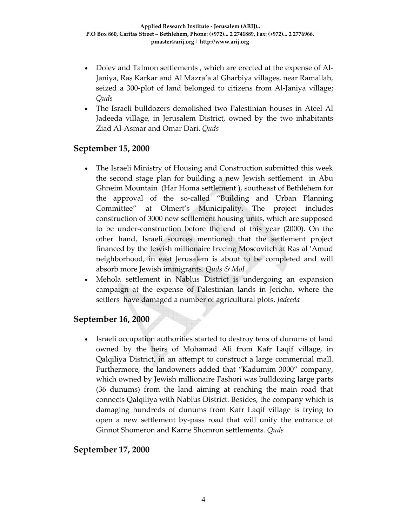- Dolev and Talmon settlements , which are erected at the expense of Al‐ Janiya, Ras Karkar and Al Mazra'a al Gharbiya villages, near Ramallah, seized a 300‐plot of land belonged to citizens from Al‐Janiya village; *Quds*
- The Israeli bulldozers demolished two Palestinian houses in Ateel Al Jadeeda village, in Jerusalem District, owned by the two inhabitants Ziad Al‐Asmar and Omar Dari. *Quds*

#### **September 15, 2000**

- The Israeli Ministry of Housing and Construction submitted this week the second stage plan for building a new Jewish settlement in Abu Ghneim Mountain (Har Homa settlement ), southeast of Bethlehem for the approval of the so‐called "Building and Urban Planning Committee" at Olmert's Municipality. The project includes construction of 3000 new settlement housing units, which are supposed to be under‐construction before the end of this year (2000). On the other hand, Israeli sources mentioned that the settlement project financed by the Jewish millionaire Irveing Moscovitch at Ras al 'Amud neighborhood, in east Jerusalem is about to be completed and will absorb more Jewish immigrants. *Quds & MoI*
- Mehola settlement in Nablus District is undergoing an expansion campaign at the expense of Palestinian lands in Jericho, where the settlers have damaged a number of agricultural plots. *Jadeeda*

## **September 16, 2000**

• Israeli occupation authorities started to destroy tens of dunums of land owned by the heirs of Mohamad Ali from Kafr Laqif village, in Qalqiliya District, in an attempt to construct a large commercial mall. Furthermore, the landowners added that "Kadumim 3000" company, which owned by Jewish millionaire Fashori was bulldozing large parts (36 dunums) from the land aiming at reaching the main road that connects Qalqiliya with Nablus District. Besides, the company which is damaging hundreds of dunums from Kafr Laqif village is trying to open a new settlement by‐pass road that will unify the entrance of Ginnot Shomeron and Karne Shomron settlements. *Quds*

## **September 17, 2000**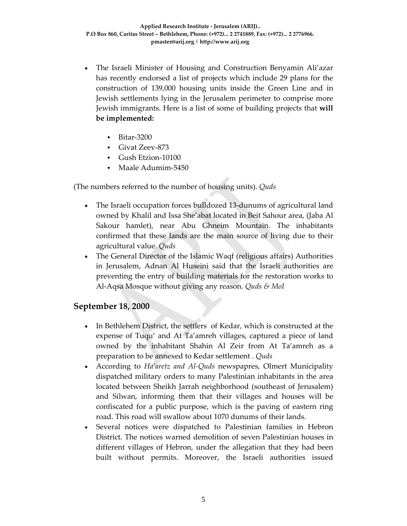- The Israeli Minister of Housing and Construction Benyamin Ali'azar has recently endorsed a list of projects which include 29 plans for the construction of 139,000 housing units inside the Green Line and in Jewish settlements lying in the Jerusalem perimeter to comprise more Jewish immigrants. Here is a list of some of building projects that **will be implemented:**
	- Bitar‐3200
	- Givat Zeev‐873
	- Gush Etzion‐10100
	- Maale Adumim‐5450

(The numbers referred to the number of housing units). *Quds*

- The Israeli occupation forces bulldozed 13‐dunums of agricultural land owned by Khalil and Issa She'abat located in Beit Sahour area, (Jaba Al Sakour hamlet), near Abu Ghneim Mountain. The inhabitants confirmed that these lands are the main source of living due to their agricultural value. *Quds*
- The General Director of the Islamic Waqf (religious affairs) Authorities in Jerusalem, Adnan Al Huseini said that the Israeli authorities are preventing the entry of building materials for the restoration works to Al‐Aqsa Mosque without giving any reason. *Quds & MoI*

## **September 18, 2000**

- In Bethlehem District, the settlers of Kedar, which is constructed at the expense of Tuqu' and At Ta'amreh villages, captured a piece of land owned by the inhabitant Shahin Al Zeir from At Ta'amreh as a preparation to be annexed to Kedar settlement . *Quds*
- According to *Ha'aretz and Al‐Quds* newspapres, Olmert Municipality dispatched military orders to many Palestinian inhabitants in the area located between Sheikh Jarrah neighborhood (southeast of Jerusalem) and Silwan, informing them that their villages and houses will be confiscated for a public purpose, which is the paving of eastern ring road. This road will swallow about 1070 dunums of their lands.
- Several notices were dispatched to Palestinian families in Hebron District. The notices warned demolition of seven Palestinian houses in different villages of Hebron, under the allegation that they had been built without permits. Moreover, the Israeli authorities issued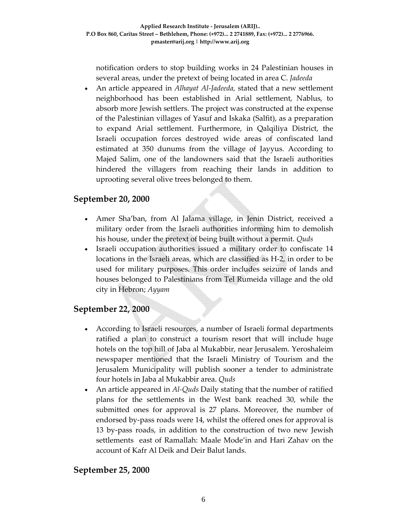notification orders to stop building works in 24 Palestinian houses in several areas, under the pretext of being located in area C. *Jadeeda*

• An article appeared in *Alhayat Al‐Jadeeda,* stated that a new settlement neighborhood has been established in Arial settlement, Nablus, to absorb more Jewish settlers. The project was constructed at the expense of the Palestinian villages of Yasuf and Iskaka (Salfit), as a preparation to expand Arial settlement. Furthermore, in Qalqiliya District, the Israeli occupation forces destroyed wide areas of confiscated land estimated at 350 dunums from the village of Jayyus. According to Majed Salim, one of the landowners said that the Israeli authorities hindered the villagers from reaching their lands in addition to uprooting several olive trees belonged to them.

## **September 20, 2000**

- Amer Sha'ban, from Al Jalama village, in Jenin District, received a military order from the Israeli authorities informing him to demolish his house, under the pretext of being built without a permit. *Quds*
- Israeli occupation authorities issued a military order to confiscate 14 locations in the Israeli areas, which are classified as H‐2, in order to be used for military purposes. This order includes seizure of lands and houses belonged to Palestinians from Tel Rumeida village and the old city in Hebron; *Ayyam*

## **September 22, 2000**

- According to Israeli resources, a number of Israeli formal departments ratified a plan to construct a tourism resort that will include huge hotels on the top hill of Jaba al Mukabbir, near Jerusalem. Yeroshaleim newspaper mentioned that the Israeli Ministry of Tourism and the Jerusalem Municipality will publish sooner a tender to administrate four hotels in Jaba al Mukabbir area. *Quds*
- An article appeared in *Al*-*Quds* Daily stating that the number of ratified plans for the settlements in the West bank reached 30, while the submitted ones for approval is 27 plans. Moreover, the number of endorsed by‐pass roads were 14, whilst the offered ones for approval is 13 by‐pass roads, in addition to the construction of two new Jewish settlements east of Ramallah: Maale Mode'in and Hari Zahav on the account of Kafr Al Deik and Deir Balut lands.

## **September 25, 2000**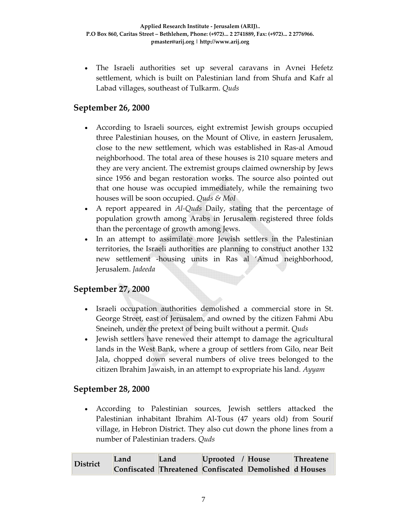• The Israeli authorities set up several caravans in Avnei Hefetz settlement, which is built on Palestinian land from Shufa and Kafr al Labad villages, southeast of Tulkarm. *Quds*

## **September 26, 2000**

- According to Israeli sources, eight extremist Jewish groups occupied three Palestinian houses, on the Mount of Olive, in eastern Jerusalem, close to the new settlement, which was established in Ras‐al Amoud neighborhood. The total area of these houses is 210 square meters and they are very ancient. The extremist groups claimed ownership by Jews since 1956 and began restoration works. The source also pointed out that one house was occupied immediately, while the remaining two houses will be soon occupied. *Quds & MoI*
- A report appeared in *Al‐Quds* Daily, stating that the percentage of population growth among Arabs in Jerusalem registered three folds than the percentage of growth among Jews.
- In an attempt to assimilate more Jewish settlers in the Palestinian territories, the Israeli authorities are planning to construct another 132 new settlement -housing units in Ras al 'Amud neighborhood, Jerusalem. *Jadeeda*

# **September 27, 2000**

- Israeli occupation authorities demolished a commercial store in St. George Street, east of Jerusalem, and owned by the citizen Fahmi Abu Sneineh, under the pretext of being built without a permit. *Quds*
- Jewish settlers have renewed their attempt to damage the agricultural lands in the West Bank, where a group of settlers from Gilo, near Beit Jala, chopped down several numbers of olive trees belonged to the citizen Ibrahim Jawaish, in an attempt to expropriate his land*. Ayyam*

## **September 28, 2000**

• According to Palestinian sources, Jewish settlers attacked the Palestinian inhabitant Ibrahim Al‐Tous (47 years old) from Sourif village, in Hebron District. They also cut down the phone lines from a number of Palestinian traders. *Quds*

| District | Land | Land | Uprooted / House |                                                        | <b>Threatene</b> |
|----------|------|------|------------------|--------------------------------------------------------|------------------|
|          |      |      |                  | Confiscated Threatened Confiscated Demolished d Houses |                  |